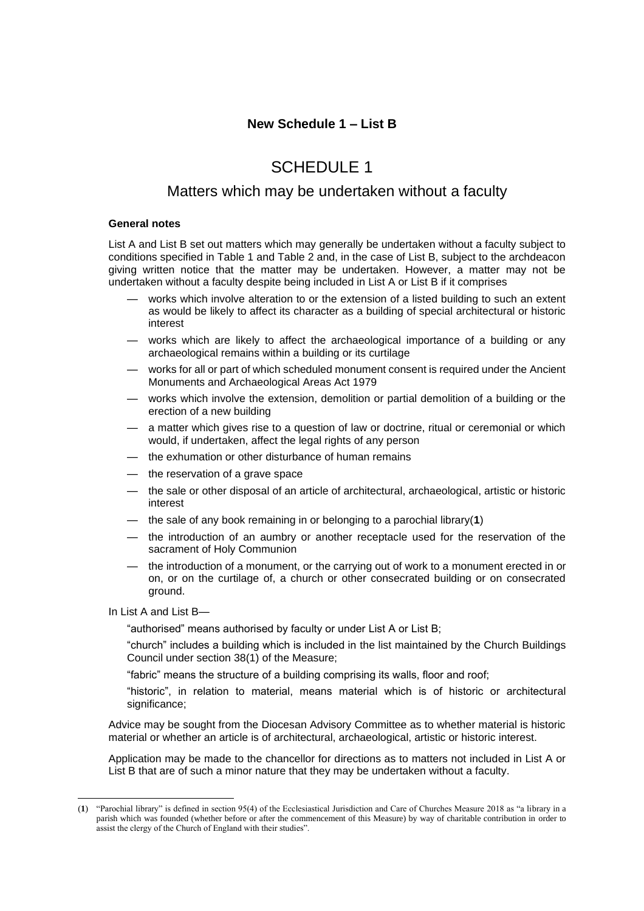# SCHEDULE 1

## Matters which may be undertaken without a faculty

#### **General notes**

List A and List B set out matters which may generally be undertaken without a faculty subject to conditions specified in Table 1 and Table 2 and, in the case of List B, subject to the archdeacon giving written notice that the matter may be undertaken. However, a matter may not be undertaken without a faculty despite being included in List A or List B if it comprises

- works which involve alteration to or the extension of a listed building to such an extent as would be likely to affect its character as a building of special architectural or historic interest
- works which are likely to affect the archaeological importance of a building or any archaeological remains within a building or its curtilage
- works for all or part of which scheduled monument consent is required under the Ancient Monuments and Archaeological Areas Act 1979
- works which involve the extension, demolition or partial demolition of a building or the erection of a new building
- a matter which gives rise to a question of law or doctrine, ritual or ceremonial or which would, if undertaken, affect the legal rights of any person
- the exhumation or other disturbance of human remains
- the reservation of a grave space
- the sale or other disposal of an article of architectural, archaeological, artistic or historic interest
- the sale of any book remaining in or belonging to a parochial library(**1**)
- the introduction of an aumbry or another receptacle used for the reservation of the sacrament of Holy Communion
- the introduction of a monument, or the carrying out of work to a monument erected in or on, or on the curtilage of, a church or other consecrated building or on consecrated ground.

In List A and List B—

"authorised" means authorised by faculty or under List A or List B;

"church" includes a building which is included in the list maintained by the Church Buildings Council under section 38(1) of the Measure;

"fabric" means the structure of a building comprising its walls, floor and roof;

"historic", in relation to material, means material which is of historic or architectural significance;

Advice may be sought from the Diocesan Advisory Committee as to whether material is historic material or whether an article is of architectural, archaeological, artistic or historic interest.

Application may be made to the chancellor for directions as to matters not included in List A or List B that are of such a minor nature that they may be undertaken without a faculty.

<sup>(</sup>**1**) "Parochial library" is defined in section 95(4) of the Ecclesiastical Jurisdiction and Care of Churches Measure 2018 as "a library in a parish which was founded (whether before or after the commencement of this Measure) by way of charitable contribution in order to assist the clergy of the Church of England with their studies".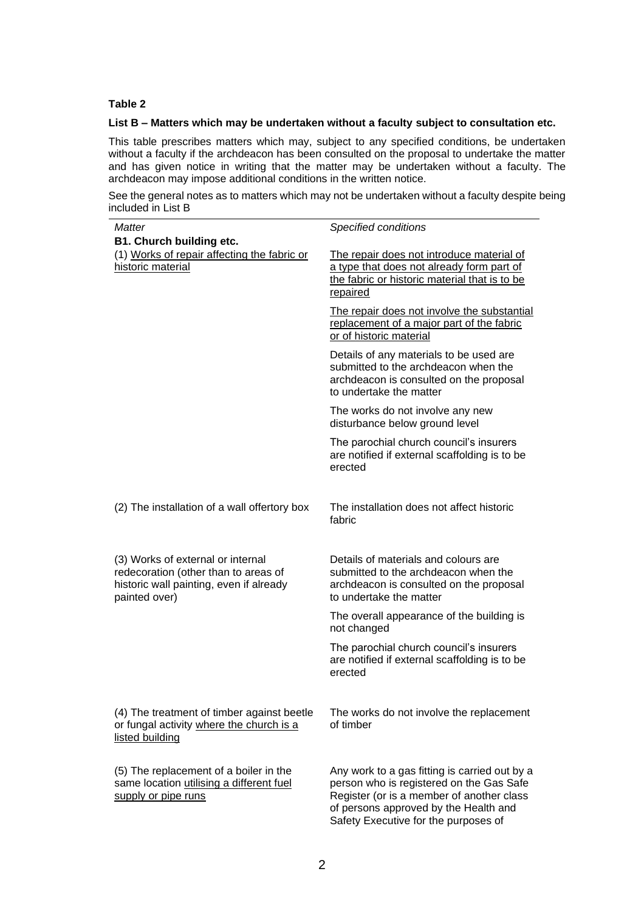### **Table 2**

### **List B – Matters which may be undertaken without a faculty subject to consultation etc.**

This table prescribes matters which may, subject to any specified conditions, be undertaken without a faculty if the archdeacon has been consulted on the proposal to undertake the matter and has given notice in writing that the matter may be undertaken without a faculty. The archdeacon may impose additional conditions in the written notice.

See the general notes as to matters which may not be undertaken without a faculty despite being included in List B

| <b>Matter</b>                                                                                                                         | Specified conditions                                                                                                                                                                                                    |
|---------------------------------------------------------------------------------------------------------------------------------------|-------------------------------------------------------------------------------------------------------------------------------------------------------------------------------------------------------------------------|
| <b>B1. Church building etc.</b>                                                                                                       |                                                                                                                                                                                                                         |
| (1) Works of repair affecting the fabric or<br>historic material                                                                      | The repair does not introduce material of<br>a type that does not already form part of<br>the fabric or historic material that is to be<br>repaired                                                                     |
|                                                                                                                                       | The repair does not involve the substantial<br>replacement of a major part of the fabric<br>or of historic material                                                                                                     |
|                                                                                                                                       | Details of any materials to be used are<br>submitted to the archdeacon when the<br>archdeacon is consulted on the proposal<br>to undertake the matter                                                                   |
|                                                                                                                                       | The works do not involve any new<br>disturbance below ground level                                                                                                                                                      |
|                                                                                                                                       | The parochial church council's insurers<br>are notified if external scaffolding is to be<br>erected                                                                                                                     |
| (2) The installation of a wall offertory box                                                                                          | The installation does not affect historic<br>fabric                                                                                                                                                                     |
| (3) Works of external or internal<br>redecoration (other than to areas of<br>historic wall painting, even if already<br>painted over) | Details of materials and colours are<br>submitted to the archdeacon when the<br>archdeacon is consulted on the proposal<br>to undertake the matter                                                                      |
|                                                                                                                                       | The overall appearance of the building is<br>not changed                                                                                                                                                                |
|                                                                                                                                       | The parochial church council's insurers<br>are notified if external scaffolding is to be<br>erected                                                                                                                     |
| (4) The treatment of timber against beetle<br>or fungal activity where the church is a<br>listed building                             | The works do not involve the replacement<br>of timber                                                                                                                                                                   |
| (5) The replacement of a boiler in the<br>same location utilising a different fuel<br>supply or pipe runs                             | Any work to a gas fitting is carried out by a<br>person who is registered on the Gas Safe<br>Register (or is a member of another class<br>of persons approved by the Health and<br>Safety Executive for the purposes of |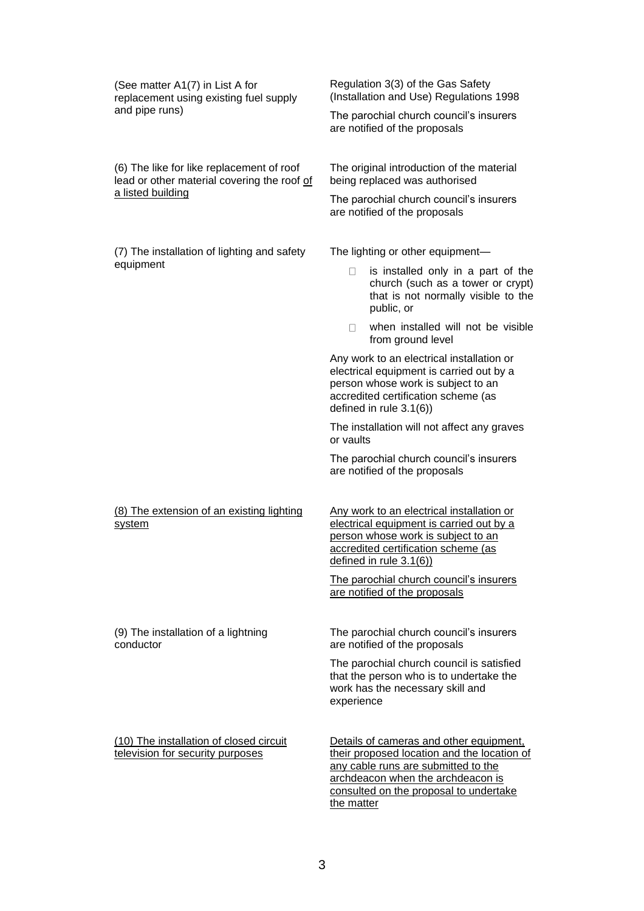| (See matter A1(7) in List A for<br>replacement using existing fuel supply<br>and pipe runs)                   | Regulation 3(3) of the Gas Safety<br>(Installation and Use) Regulations 1998                                                                                                                                 |
|---------------------------------------------------------------------------------------------------------------|--------------------------------------------------------------------------------------------------------------------------------------------------------------------------------------------------------------|
|                                                                                                               | The parochial church council's insurers<br>are notified of the proposals                                                                                                                                     |
| (6) The like for like replacement of roof<br>lead or other material covering the roof of<br>a listed building | The original introduction of the material<br>being replaced was authorised                                                                                                                                   |
|                                                                                                               | The parochial church council's insurers<br>are notified of the proposals                                                                                                                                     |
| (7) The installation of lighting and safety<br>equipment                                                      | The lighting or other equipment-                                                                                                                                                                             |
|                                                                                                               | is installed only in a part of the<br>u<br>church (such as a tower or crypt)<br>that is not normally visible to the<br>public, or                                                                            |
|                                                                                                               | when installed will not be visible<br>$\mathbf{L}$<br>from ground level                                                                                                                                      |
|                                                                                                               | Any work to an electrical installation or<br>electrical equipment is carried out by a<br>person whose work is subject to an<br>accredited certification scheme (as<br>defined in rule 3.1(6))                |
|                                                                                                               | The installation will not affect any graves<br>or vaults                                                                                                                                                     |
|                                                                                                               | The parochial church council's insurers<br>are notified of the proposals                                                                                                                                     |
| (8) The extension of an existing lighting<br>system                                                           | Any work to an electrical installation or<br>electrical equipment is carried out by a<br>person whose work is subject to an<br>accredited certification scheme (as<br>defined in rule 3.1(6))                |
|                                                                                                               | The parochial church council's insurers<br>are notified of the proposals                                                                                                                                     |
| (9) The installation of a lightning<br>conductor                                                              | The parochial church council's insurers<br>are notified of the proposals                                                                                                                                     |
|                                                                                                               | The parochial church council is satisfied<br>that the person who is to undertake the<br>work has the necessary skill and<br>experience                                                                       |
| (10) The installation of closed circuit<br>television for security purposes                                   | Details of cameras and other equipment,<br>their proposed location and the location of<br>any cable runs are submitted to the<br>archdeacon when the archdeacon is<br>consulted on the proposal to undertake |

the matter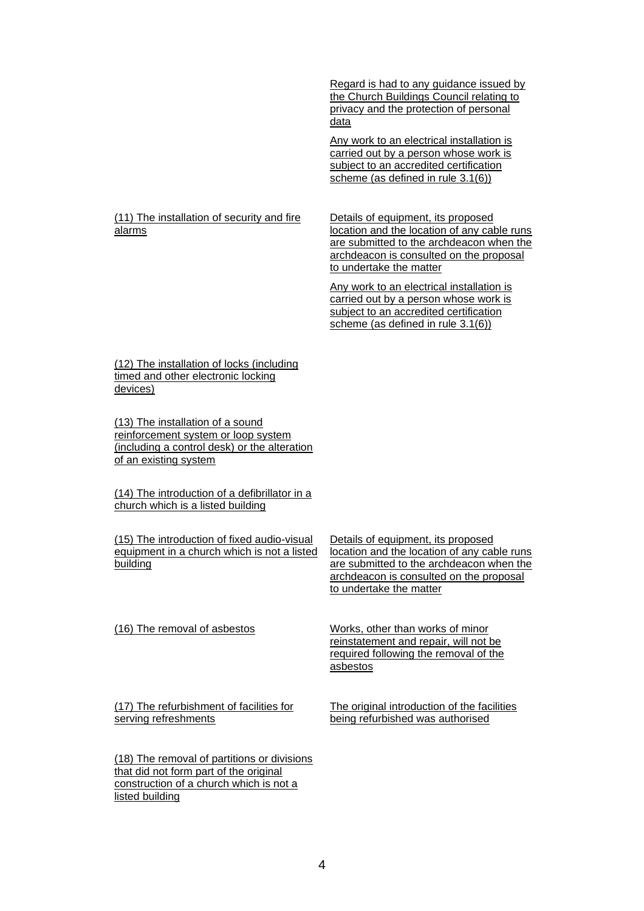Regard is had to any guidance issued by the Church Buildings Council relating to privacy and the protection of personal data

Any work to an electrical installation is carried out by a person whose work is subject to an accredited certification scheme (as defined in rule 3.1(6))

#### (11) The installation of security and fire alarms

Details of equipment, its proposed location and the location of any cable runs are submitted to the archdeacon when the archdeacon is consulted on the proposal to undertake the matter

Any work to an electrical installation is carried out by a person whose work is subject to an accredited certification scheme (as defined in rule 3.1(6))

(12) The installation of locks (including timed and other electronic locking devices)

(13) The installation of a sound reinforcement system or loop system (including a control desk) or the alteration of an existing system

(14) The introduction of a defibrillator in a church which is a listed building

(15) The introduction of fixed audio-visual equipment in a church which is not a listed building

Details of equipment, its proposed location and the location of any cable runs are submitted to the archdeacon when the archdeacon is consulted on the proposal to undertake the matter

(16) The removal of asbestos Works, other than works of minor

reinstatement and repair, will not be required following the removal of the asbestos

(17) The refurbishment of facilities for serving refreshments

The original introduction of the facilities being refurbished was authorised

(18) The removal of partitions or divisions that did not form part of the original construction of a church which is not a listed building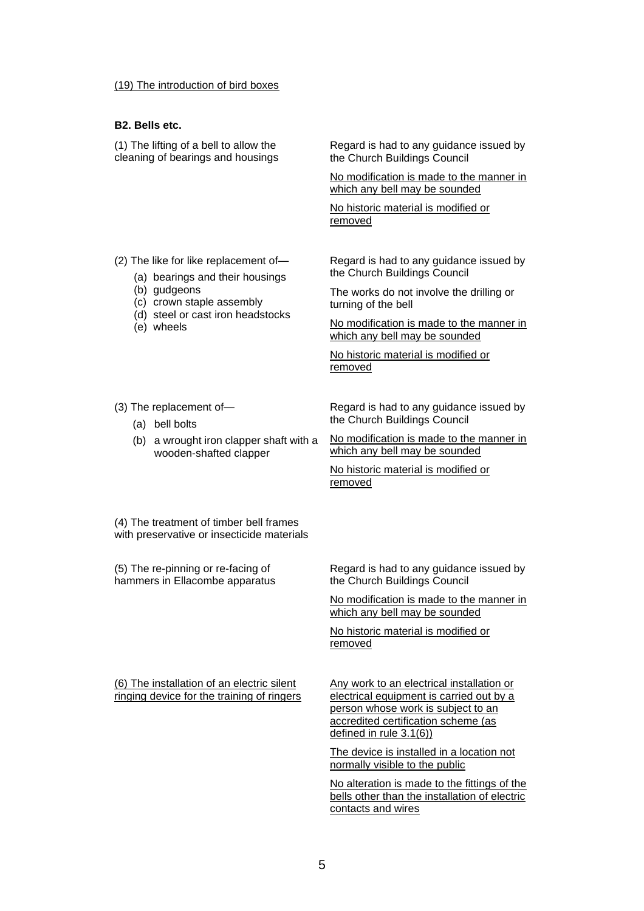#### (19) The introduction of bird boxes

#### **B2. Bells etc.**

(1) The lifting of a bell to allow the cleaning of bearings and housings Regard is had to any guidance issued by the Church Buildings Council

No modification is made to the manner in which any bell may be sounded

No historic material is modified or removed

(2) The like for like replacement of—

- (a) bearings and their housings
- (b) gudgeons
- (c) crown staple assembly
- (d) steel or cast iron headstocks
- (e) wheels

Regard is had to any guidance issued by the Church Buildings Council

The works do not involve the drilling or turning of the bell

No modification is made to the manner in which any bell may be sounded

No historic material is modified or removed

(3) The replacement of—

- (a) bell bolts
- (b) a wrought iron clapper shaft with a wooden-shafted clapper

Regard is had to any guidance issued by the Church Buildings Council

No modification is made to the manner in which any bell may be sounded

No historic material is modified or removed

(4) The treatment of timber bell frames with preservative or insecticide materials

(5) The re-pinning or re-facing of hammers in Ellacombe apparatus

Regard is had to any guidance issued by the Church Buildings Council

No modification is made to the manner in which any bell may be sounded

No historic material is modified or removed

(6) The installation of an electric silent ringing device for the training of ringers Any work to an electrical installation or electrical equipment is carried out by a person whose work is subject to an accredited certification scheme (as defined in rule 3.1(6))

The device is installed in a location not normally visible to the public

No alteration is made to the fittings of the bells other than the installation of electric contacts and wires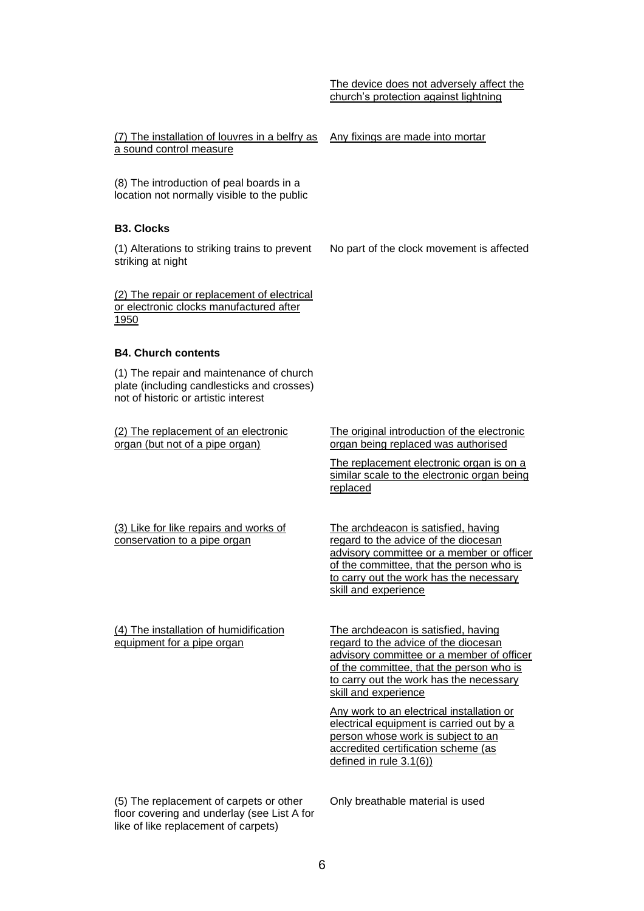No part of the clock movement is affected

(7) The installation of louvres in a belfry as Any fixings are made into mortar a sound control measure

(8) The introduction of peal boards in a location not normally visible to the public

#### **B3. Clocks**

(1) Alterations to striking trains to prevent striking at night

(2) The repair or replacement of electrical or electronic clocks manufactured after 1950

#### **B4. Church contents**

(1) The repair and maintenance of church plate (including candlesticks and crosses) not of historic or artistic interest

(2) The replacement of an electronic organ (but not of a pipe organ)

The original introduction of the electronic organ being replaced was authorised

The replacement electronic organ is on a similar scale to the electronic organ being replaced

The archdeacon is satisfied, having regard to the advice of the diocesan advisory committee or a member or officer of the committee, that the person who is to carry out the work has the necessary

skill and experience

(3) Like for like repairs and works of conservation to a pipe organ

(4) The installation of humidification equipment for a pipe organ

The archdeacon is satisfied, having regard to the advice of the diocesan advisory committee or a member of officer of the committee, that the person who is to carry out the work has the necessary skill and experience

Any work to an electrical installation or electrical equipment is carried out by a person whose work is subject to an accredited certification scheme (as defined in rule 3.1(6))

(5) The replacement of carpets or other floor covering and underlay (see List A for like of like replacement of carpets)

Only breathable material is used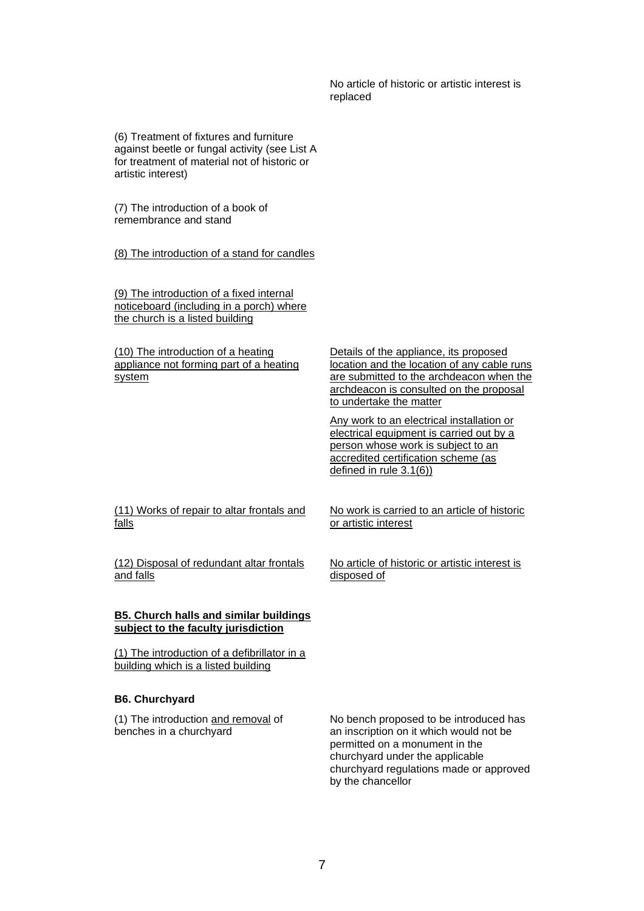No article of historic or artistic interest is replaced

(6) Treatment of fixtures and furniture against beetle or fungal activity (see List A for treatment of material not of historic or artistic interest)

(7) The introduction of a book of remembrance and stand

(8) The introduction of a stand for candles

(9) The introduction of a fixed internal noticeboard (including in a porch) where the church is a listed building

(10) The introduction of a heating appliance not forming part of a heating system

Details of the appliance, its proposed location and the location of any cable runs are submitted to the archdeacon when the archdeacon is consulted on the proposal to undertake the matter

Any work to an electrical installation or electrical equipment is carried out by a person whose work is subject to an accredited certification scheme (as defined in rule 3.1(6))

(11) Works of repair to altar frontals and falls

(12) Disposal of redundant altar frontals and falls

### **B5. Church halls and similar buildings subject to the faculty jurisdiction**

(1) The introduction of a defibrillator in a building which is a listed building

#### **B6. Churchyard**

(1) The introduction and removal of benches in a churchyard

No work is carried to an article of historic or artistic interest

No article of historic or artistic interest is disposed of

No bench proposed to be introduced has an inscription on it which would not be permitted on a monument in the churchyard under the applicable churchyard regulations made or approved by the chancellor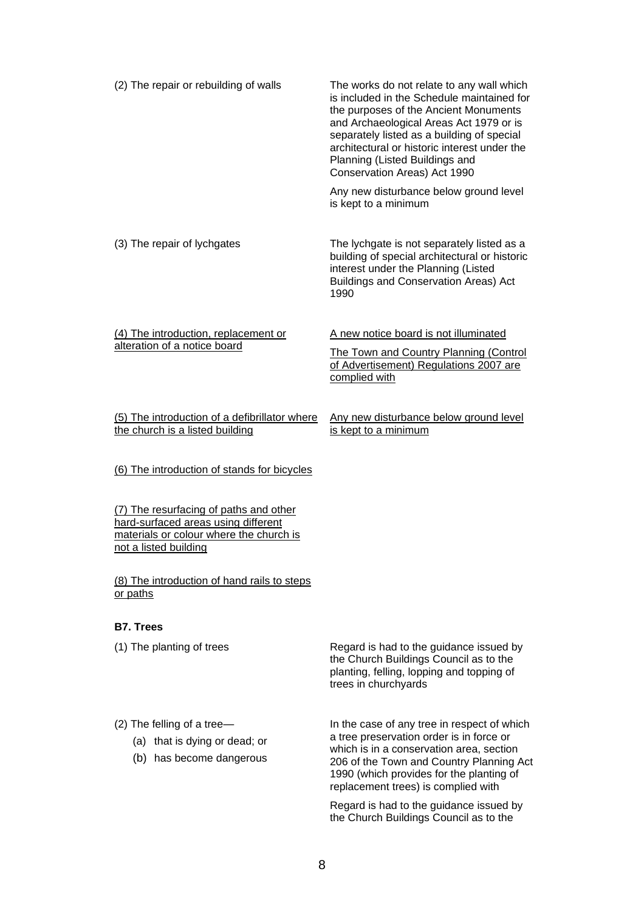| (2) The repair or rebuilding of walls                                                                                                             | The works do not relate to any wall which<br>is included in the Schedule maintained for<br>the purposes of the Ancient Monuments<br>and Archaeological Areas Act 1979 or is<br>separately listed as a building of special<br>architectural or historic interest under the<br>Planning (Listed Buildings and<br>Conservation Areas) Act 1990<br>Any new disturbance below ground level |
|---------------------------------------------------------------------------------------------------------------------------------------------------|---------------------------------------------------------------------------------------------------------------------------------------------------------------------------------------------------------------------------------------------------------------------------------------------------------------------------------------------------------------------------------------|
|                                                                                                                                                   | is kept to a minimum                                                                                                                                                                                                                                                                                                                                                                  |
| (3) The repair of lychgates                                                                                                                       | The lychgate is not separately listed as a<br>building of special architectural or historic<br>interest under the Planning (Listed<br>Buildings and Conservation Areas) Act<br>1990                                                                                                                                                                                                   |
| (4) The introduction, replacement or<br>alteration of a notice board                                                                              | A new notice board is not illuminated<br><b>The Town and Country Planning (Control</b><br>of Advertisement) Regulations 2007 are<br>complied with                                                                                                                                                                                                                                     |
| (5) The introduction of a defibrillator where<br>the church is a listed building                                                                  | Any new disturbance below ground level<br>is kept to a minimum                                                                                                                                                                                                                                                                                                                        |
| (6) The introduction of stands for bicycles                                                                                                       |                                                                                                                                                                                                                                                                                                                                                                                       |
| (7) The resurfacing of paths and other<br>hard-surfaced areas using different<br>materials or colour where the church is<br>not a listed building |                                                                                                                                                                                                                                                                                                                                                                                       |
| (8) The introduction of hand rails to steps<br>or paths                                                                                           |                                                                                                                                                                                                                                                                                                                                                                                       |
| <b>B7. Trees</b>                                                                                                                                  |                                                                                                                                                                                                                                                                                                                                                                                       |
| (1) The planting of trees                                                                                                                         | Regard is had to the guidance issued by<br>the Church Buildings Council as to the<br>planting, felling, lopping and topping of<br>trees in churchyards                                                                                                                                                                                                                                |
| $(2)$ The felling of a tree-<br>(a) that is dying or dead; or<br>(b) has become dangerous                                                         | In the case of any tree in respect of which<br>a tree preservation order is in force or<br>which is in a conservation area, section<br>206 of the Town and Country Planning Act<br>1990 (which provides for the planting of<br>replacement trees) is complied with                                                                                                                    |

Regard is had to the guidance issued by the Church Buildings Council as to the